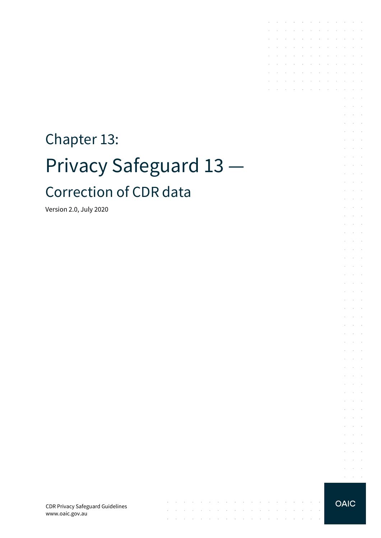# Chapter 13: Privacy Safeguard 13 — Correction of CDR data

Version 2.0, July 2020

CDR Privacy Safeguard Guidelines www.oaic.gov.au

 $\mathcal{A}$  . The contribution of the contribution of the contribution of  $\mathcal{A}$ 

 $\sim$ 

 $\mathcal{A}$  . The contribution of the contribution of the contribution of the contribution of

the contract of the contract of the contract of

 $\sim$ 

 $\sim$  $\sim$ 

**Carl Carl** 

**OAIC** 

the contract of the contract of the contract of

and the contract of the contract of the

 $\sim$ 

 $\mathcal{A}^{\mathcal{A}}$  and  $\mathcal{A}^{\mathcal{A}}$  $\sim$ 

 $\sim 10$ 

 $\sim 10^{-1}$ 

 $\mathcal{L}^{\pm}$  $\sim$ and a state

t,  $\alpha$  ,  $\beta$  ,  $\alpha$ 

 $\mathcal{L}^{\mathcal{L}}$  $\Delta \sim 100$ 

 $\mathcal{L}$  $\alpha$  and  $\alpha$  $\Delta \sim 100$  $\sim$ 

÷ V.  $\mathcal{L}^{\mathcal{L}}$ 

÷.  $\mathcal{L}^{\text{max}}$  $\sim$ ÷.  $\sim$  $\sim 10^{-1}$  .

 $\mathcal{L}$  $\alpha$  ,  $\beta$  ,  $\alpha$  $\Delta \sim 10^4$ 

V.  $\mathcal{L}$  $\sim$  $\alpha$  and  $\alpha$  $\mathcal{L}^{\text{max}}$ 

 $\overline{\phantom{a}}$  $\sim$  $\sim 10^{-10}$  km

 $\mathcal{L}^{\mathcal{L}}$  $\Delta\sim 100$ 

 $\sim$  $\mathcal{L}^{\text{max}}$  $\mathcal{L}^{\text{max}}(\mathcal{L}^{\text{max}})$  .

 $\mathcal{L}$ **Service** 

 $\sim$ **Contract** 

 $\mathcal{L}^{\mathcal{L}}$  $\alpha$  and  $\alpha$ 

 $\sim$  $\sim 10^{-11}$  .

 $\mathcal{L}$  $\sim 10^{-11}$ and a state

J.  $\sim$  $\sim$  $\sim$ 

 $\mathcal{L}$  $\sim$ **Service** State  $\alpha = \alpha + \beta$ 

 $\mathcal{A}$  . The contribution of the contribution of  $\mathcal{A}$ 

the control of the control of

and the state of the state of

 $\mathcal{L}_{\rm{max}}$  .

 $\mathcal{L}^{\mathcal{A}}$  . The set of the set of the set of the set of  $\mathcal{L}^{\mathcal{A}}$ 

 $\mathcal{L}^{\mathcal{A}}$  . The contribution of the contribution of the contribution of and the contract of the con-

 $\mathcal{L}$  $\sim$ 

> $\sim$  $\bar{z}$  $\sim$

s.

÷.  $\sim$  $\sim 10^{-1}$ 

t.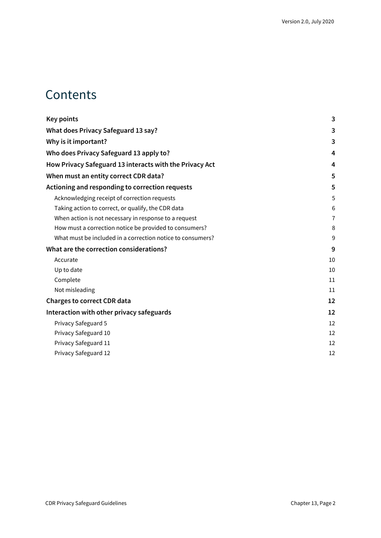### **Contents**

| <b>Key points</b>                                          | 3              |
|------------------------------------------------------------|----------------|
| What does Privacy Safeguard 13 say?                        | 3              |
| Why is it important?                                       | 3              |
| Who does Privacy Safeguard 13 apply to?                    | 4              |
| How Privacy Safeguard 13 interacts with the Privacy Act    | 4              |
| When must an entity correct CDR data?                      | 5              |
| Actioning and responding to correction requests            | 5              |
| Acknowledging receipt of correction requests               | 5              |
| Taking action to correct, or qualify, the CDR data         | 6              |
| When action is not necessary in response to a request      | $\overline{7}$ |
| How must a correction notice be provided to consumers?     | 8              |
| What must be included in a correction notice to consumers? | 9              |
| What are the correction considerations?                    | 9              |
| Accurate                                                   | 10             |
| Up to date                                                 | 10             |
| Complete                                                   | 11             |
| Not misleading                                             | 11             |
| <b>Charges to correct CDR data</b>                         | 12             |
| Interaction with other privacy safeguards                  | 12             |
| Privacy Safeguard 5                                        | 12             |
| Privacy Safeguard 10                                       | 12             |
| Privacy Safeguard 11                                       | 12             |
| Privacy Safeguard 12                                       | 12             |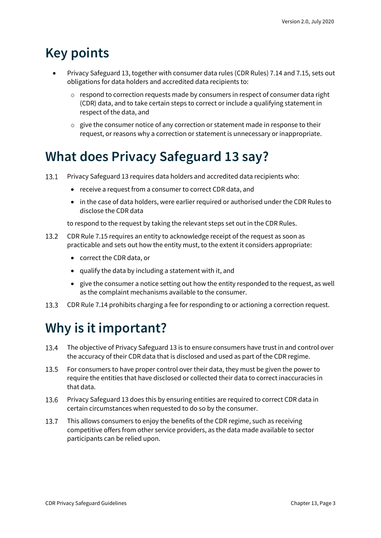### <span id="page-2-0"></span>**Key points**

- Privacy Safeguard 13, together with consumer data rules (CDR Rules) 7.14 and 7.15, sets out obligations for data holders and accredited data recipients to:
	- $\circ$  respond to correction requests made by consumers in respect of consumer data right (CDR) data, and to take certain steps to correct or include a qualifying statement in respect of the data, and
	- $\circ$  give the consumer notice of any correction or statement made in response to their request, or reasons why a correction or statement is unnecessary or inappropriate.

# <span id="page-2-1"></span>**What does Privacy Safeguard 13 say?**

- 13.1 Privacy Safeguard 13 requires data holders and accredited data recipients who:
	- receive a request from a consumer to correct CDR data, and
	- in the case of data holders, were earlier required or authorised under the CDR Rules to disclose the CDR data

to respond to the request by taking the relevant steps set out in the CDR Rules.

- 13.2 CDR Rule 7.15 requires an entity to acknowledge receipt of the request as soon as practicable and sets out how the entity must, to the extent it considers appropriate:
	- correct the CDR data, or
	- qualify the data by including a statement with it, and
	- give the consumer a notice setting out how the entity responded to the request, as well as the complaint mechanisms available to the consumer.
- $13.3 -$ CDR Rule 7.14 prohibits charging a fee for responding to or actioning a correction request.

# <span id="page-2-2"></span>**Why is it important?**

- 13.4 The objective of Privacy Safeguard 13 is to ensure consumers have trust in and control over the accuracy of their CDR data that is disclosed and used as part of the CDR regime.
- 13.5 For consumers to have proper control over their data, they must be given the power to require the entities that have disclosed or collected their data to correct inaccuracies in that data.
- Privacy Safeguard 13 does this by ensuring entities are required to correct CDR data in  $13.6$ certain circumstances when requested to do so by the consumer.
- 13.7 This allows consumers to enjoy the benefits of the CDR regime, such as receiving competitive offers from other service providers, as the data made available to sector participants can be relied upon.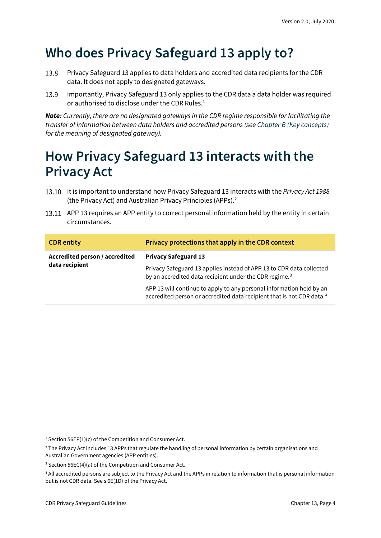### <span id="page-3-0"></span>**Who does Privacy Safeguard 13 apply to?**

- Privacy Safeguard 13 applies to data holders and accredited data recipients for the CDR 13.8 data. It does not apply to designated gateways.
- 13.9 Importantly, Privacy Safeguard 13 only applies to the CDR data a data holder was required or authorised to disclose under the CDR Rules.<sup>[1](#page-3-2)</sup>

*Note: Currently, there are no designated gateways in the CDR regime responsible for facilitating the transfer of information between data holders and accredited persons (see [Chapter B \(Key concepts\)](https://www.oaic.gov.au/consumer-data-right/cdr-privacy-safeguard-guidelines/chapter-b-key-concepts) for the meaning of designated gateway).*

### <span id="page-3-1"></span>**How Privacy Safeguard 13 interacts with the Privacy Act**

- 13.10 It is important to understand how Privacy Safeguard 13 interacts with the *Privacy Act 1988* (the Privacy Act) and Australian Privacy Principles (APPs).[2](#page-3-3)
- 13.11 APP 13 requires an APP entity to correct personal information held by the entity in certain circumstances.

| <b>CDR</b> entity                                       | Privacy protections that apply in the CDR context                                                                                                         |
|---------------------------------------------------------|-----------------------------------------------------------------------------------------------------------------------------------------------------------|
| <b>Accredited person / accredited</b><br>data recipient | <b>Privacy Safeguard 13</b>                                                                                                                               |
|                                                         | Privacy Safeguard 13 applies instead of APP 13 to CDR data collected<br>by an accredited data recipient under the CDR regime. <sup>3</sup>                |
|                                                         | APP 13 will continue to apply to any personal information held by an<br>accredited person or accredited data recipient that is not CDR data. <sup>4</sup> |

<span id="page-3-2"></span><sup>&</sup>lt;sup>1</sup> Section 56EP(1)(c) of the Competition and Consumer Act.

<span id="page-3-3"></span><sup>&</sup>lt;sup>2</sup> The Privacy Act includes 13 APPs that regulate the handling of personal information by certain organisations and Australian Government agencies (APP entities).

<span id="page-3-4"></span><sup>3</sup> Section 56EC(4)(a) of the Competition and Consumer Act.

<span id="page-3-5"></span><sup>4</sup> All accredited persons are subject to the Privacy Act and the APPs in relation to information that is personal information but is not CDR data. See s 6E(1D) of the Privacy Act.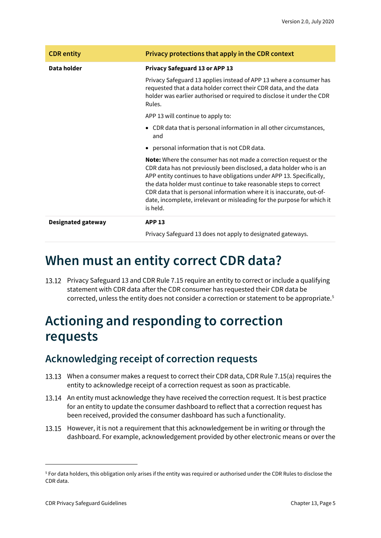| <b>CDR</b> entity         | Privacy protections that apply in the CDR context                                                                                                                                                                                                                                                                                                                                                                                                            |
|---------------------------|--------------------------------------------------------------------------------------------------------------------------------------------------------------------------------------------------------------------------------------------------------------------------------------------------------------------------------------------------------------------------------------------------------------------------------------------------------------|
| Data holder               | <b>Privacy Safeguard 13 or APP 13</b>                                                                                                                                                                                                                                                                                                                                                                                                                        |
|                           | Privacy Safeguard 13 applies instead of APP 13 where a consumer has<br>requested that a data holder correct their CDR data, and the data<br>holder was earlier authorised or required to disclose it under the CDR<br>Rules.                                                                                                                                                                                                                                 |
|                           | APP 13 will continue to apply to:                                                                                                                                                                                                                                                                                                                                                                                                                            |
|                           | • CDR data that is personal information in all other circumstances,<br>and                                                                                                                                                                                                                                                                                                                                                                                   |
|                           | personal information that is not CDR data.                                                                                                                                                                                                                                                                                                                                                                                                                   |
|                           | <b>Note:</b> Where the consumer has not made a correction request or the<br>CDR data has not previously been disclosed, a data holder who is an<br>APP entity continues to have obligations under APP 13. Specifically,<br>the data holder must continue to take reasonable steps to correct<br>CDR data that is personal information where it is inaccurate, out-of-<br>date, incomplete, irrelevant or misleading for the purpose for which it<br>is held. |
| <b>Designated gateway</b> | <b>APP 13</b>                                                                                                                                                                                                                                                                                                                                                                                                                                                |
|                           | Privacy Safeguard 13 does not apply to designated gateways.                                                                                                                                                                                                                                                                                                                                                                                                  |

### <span id="page-4-0"></span>**When must an entity correct CDR data?**

13.12 Privacy Safeguard 13 and CDR Rule 7.15 require an entity to correct or include a qualifying statement with CDR data after the CDR consumer has requested their CDR data be corrected, unless the entity does not consider a correction or statement to be appropriate.<sup>[5](#page-4-3)</sup>

### <span id="page-4-1"></span>**Actioning and responding to correction requests**

### <span id="page-4-2"></span>**Acknowledging receipt of correction requests**

- When a consumer makes a request to correct their CDR data, CDR Rule 7.15(a) requires the entity to acknowledge receipt of a correction request as soon as practicable.
- 13.14 An entity must acknowledge they have received the correction request. It is best practice for an entity to update the consumer dashboard to reflect that a correction request has been received, provided the consumer dashboard has such a functionality.
- 13.15 However, it is not a requirement that this acknowledgement be in writing or through the dashboard. For example, acknowledgement provided by other electronic means or over the

<span id="page-4-3"></span><sup>5</sup> For data holders, this obligation only arises if the entity was required or authorised under the CDR Rules to disclose the CDR data.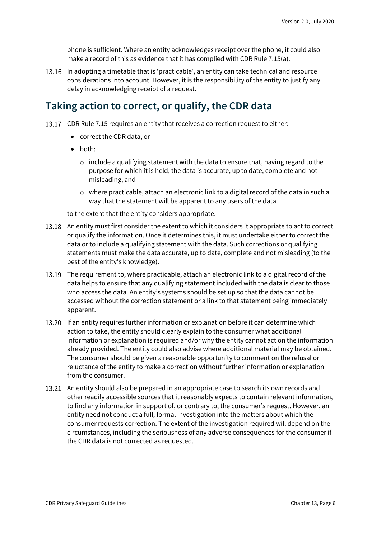phone is sufficient. Where an entity acknowledges receipt over the phone, it could also make a record of this as evidence that it has complied with CDR Rule 7.15(a).

13.16 In adopting a timetable that is 'practicable', an entity can take technical and resource considerations into account. However, it is the responsibility of the entity to justify any delay in acknowledging receipt of a request.

#### <span id="page-5-0"></span>**Taking action to correct, or qualify, the CDR data**

- 13.17 CDR Rule 7.15 requires an entity that receives a correction request to either:
	- correct the CDR data, or
	- both:
		- $\circ$  include a qualifying statement with the data to ensure that, having regard to the purpose for which it is held, the data is accurate, up to date, complete and not misleading, and
		- o where practicable, attach an electronic link to a digital record of the data in such a way that the statement will be apparent to any users of the data.

to the extent that the entity considers appropriate.

- 13.18 An entity must first consider the extent to which it considers it appropriate to act to correct or qualify the information. Once it determines this, it must undertake either to correct the data or to include a qualifying statement with the data. Such corrections or qualifying statements must make the data accurate, up to date, complete and not misleading (to the best of the entity's knowledge).
- 13.19 The requirement to, where practicable, attach an electronic link to a digital record of the data helps to ensure that any qualifying statement included with the data is clear to those who access the data. An entity's systems should be set up so that the data cannot be accessed without the correction statement or a link to that statement being immediately apparent.
- 13.20 If an entity requires further information or explanation before it can determine which action to take, the entity should clearly explain to the consumer what additional information or explanation is required and/or why the entity cannot act on the information already provided. The entity could also advise where additional material may be obtained. The consumer should be given a reasonable opportunity to comment on the refusal or reluctance of the entity to make a correction without further information or explanation from the consumer.
- 13.21 An entity should also be prepared in an appropriate case to search its own records and other readily accessible sources that it reasonably expects to contain relevant information, to find any information in support of, or contrary to, the consumer's request. However, an entity need not conduct a full, formal investigation into the matters about which the consumer requests correction. The extent of the investigation required will depend on the circumstances, including the seriousness of any adverse consequences for the consumer if the CDR data is not corrected as requested.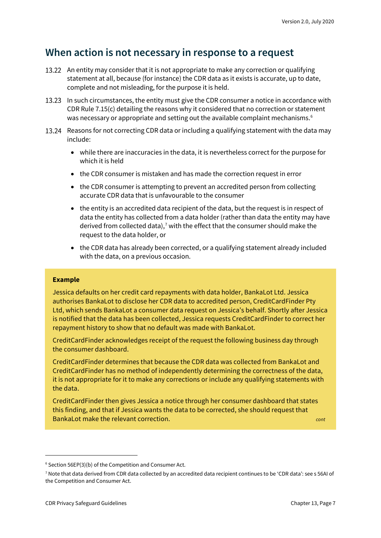#### <span id="page-6-0"></span>**When action is not necessary in response to a request**

- 13.22 An entity may consider that it is not appropriate to make any correction or qualifying statement at all, because (for instance) the CDR data as it exists is accurate, up to date, complete and not misleading, for the purpose it is held.
- 13.23 In such circumstances, the entity must give the CDR consumer a notice in accordance with CDR Rule 7.15(c) detailing the reasons why it considered that no correction or statement was necessary or appropriate and setting out the available complaint mechanisms.<sup>6</sup>
- 13.24 Reasons for not correcting CDR data or including a qualifying statement with the data may include:
	- while there are inaccuracies in the data, it is nevertheless correct for the purpose for which it is held
	- the CDR consumer is mistaken and has made the correction request in error
	- the CDR consumer is attempting to prevent an accredited person from collecting accurate CDR data that is unfavourable to the consumer
	- the entity is an accredited data recipient of the data, but the request is in respect of data the entity has collected from a data holder (rather than data the entity may have derived from collected data), [7](#page-6-2) with the effect that the consumer should make the request to the data holder, or
	- the CDR data has already been corrected, or a qualifying statement already included with the data, on a previous occasion.

#### **Example**

Jessica defaults on her credit card repayments with data holder, BankaLot Ltd. Jessica authorises BankaLot to disclose her CDR data to accredited person, CreditCardFinder Pty Ltd, which sends BankaLot a consumer data request on Jessica's behalf. Shortly after Jessica is notified that the data has been collected, Jessica requests CreditCardFinder to correct her repayment history to show that no default was made with BankaLot.

CreditCardFinder acknowledges receipt of the request the following business day through the consumer dashboard.

CreditCardFinder determines that because the CDR data was collected from BankaLot and CreditCardFinder has no method of independently determining the correctness of the data, it is not appropriate for it to make any corrections or include any qualifying statements with the data.

CreditCardFinder then gives Jessica a notice through her consumer dashboard that states this finding, and that if Jessica wants the data to be corrected, she should request that BankaLot make the relevant correction. *cont*

<span id="page-6-1"></span><sup>6</sup> Section 56EP(3)(b) of the Competition and Consumer Act.

<span id="page-6-2"></span><sup>7</sup> Note that data derived from CDR data collected by an accredited data recipient continues to be 'CDR data': see s 56AI of the Competition and Consumer Act.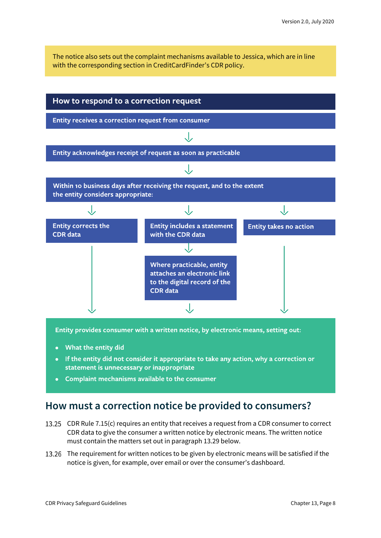The notice also sets out the complaint mechanisms available to Jessica, which are in line with the corresponding section in CreditCardFinder's CDR policy.



Entity provides consumer with a written notice, by electronic means, setting out:

- What the entity did
- If the entity did not consider it appropriate to take any action, why a correction or statement is unnecessary or inappropriate
- Complaint mechanisms available to the consumer

#### <span id="page-7-0"></span>**How must a correction notice be provided to consumers?**

- 13.25 CDR Rule 7.15(c) requires an entity that receives a request from a CDR consumer to correct CDR data to give the consumer a written notice by electronic means. The written notice must contain the matters set out in paragraph 13.29 below.
- 13.26 The requirement for written notices to be given by electronic means will be satisfied if the notice is given, for example, over email or over the consumer's dashboard.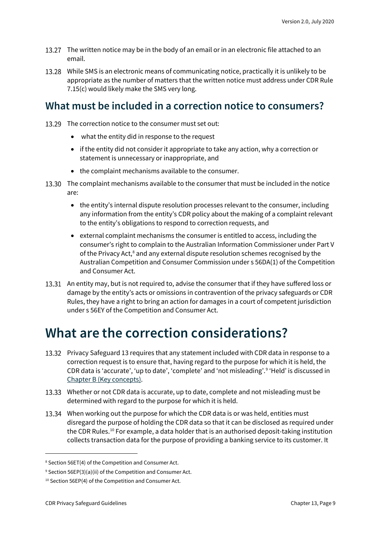- 13.27 The written notice may be in the body of an email or in an electronic file attached to an email.
- While SMS is an electronic means of communicating notice, practically it is unlikely to be appropriate as the number of matters that the written notice must address under CDR Rule 7.15(c) would likely make the SMS very long.

#### <span id="page-8-0"></span>**What must be included in a correction notice to consumers?**

- 13.29 The correction notice to the consumer must set out:
	- what the entity did in response to the request
	- if the entity did not consider it appropriate to take any action, why a correction or statement is unnecessary or inappropriate, and
	- the complaint mechanisms available to the consumer.
- The complaint mechanisms available to the consumer that must be included in the notice are:
	- the entity's internal dispute resolution processes relevant to the consumer, including any information from the entity's CDR policy about the making of a complaint relevant to the entity's obligations to respond to correction requests, and
	- external complaint mechanisms the consumer is entitled to access, including the consumer's right to complain to the Australian Information Commissioner under Part V of the Privacy Act,<sup>[8](#page-8-2)</sup> and any external dispute resolution schemes recognised by the Australian Competition and Consumer Commission under s 56DA(1) of the Competition and Consumer Act.
- 13.31 An entity may, but is not required to, advise the consumer that if they have suffered loss or damage by the entity's acts or omissions in contravention of the privacy safeguards or CDR Rules, they have a right to bring an action for damages in a court of competent jurisdiction under s 56EY of the Competition and Consumer Act.

### <span id="page-8-1"></span>**What are the correction considerations?**

- 13.32 Privacy Safeguard 13 requires that any statement included with CDR data in response to a correction request is to ensure that, having regard to the purpose for which it is held, the CDR data is 'accurate', 'up to date', 'complete' and 'not misleading'.<sup>[9](#page-8-3)</sup> 'Held' is discussed in [Chapter B \(Key concepts\).](https://www.oaic.gov.au/consumer-data-right/cdr-privacy-safeguard-guidelines/chapter-b-key-concepts)
- Whether or not CDR data is accurate, up to date, complete and not misleading must be determined with regard to the purpose for which it is held.
- 13.34 When working out the purpose for which the CDR data is or was held, entities must disregard the purpose of holding the CDR data so that it can be disclosed as required under the CDR Rules.<sup>[10](#page-8-4)</sup> For example, a data holder that is an authorised deposit-taking institution collects transaction data for the purpose of providing a banking service to its customer. It

<span id="page-8-2"></span><sup>8</sup> Section 56ET(4) of the Competition and Consumer Act.

<span id="page-8-3"></span><sup>9</sup> Section 56EP(3)(a)(ii) of the Competition and Consumer Act.

<span id="page-8-4"></span><sup>10</sup> Section 56EP(4) of the Competition and Consumer Act.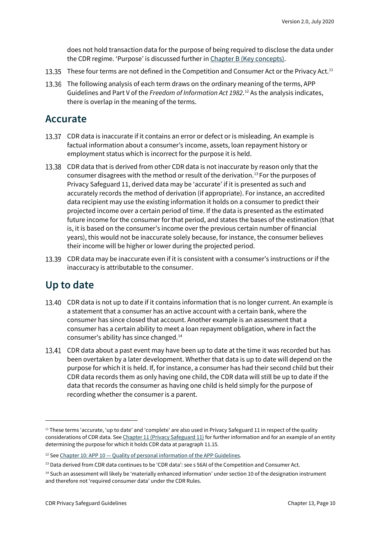does not hold transaction data for the purpose of being required to disclose the data under the CDR regime. 'Purpose' is discussed further i[n Chapter B \(Key concepts\).](https://www.oaic.gov.au/consumer-data-right/cdr-privacy-safeguard-guidelines/chapter-b-key-concepts)

- 13.35 These four terms are not defined in the Competition and Consumer Act or the Privacy Act.<sup>11</sup>
- 13.36 The following analysis of each term draws on the ordinary meaning of the terms, APP Guidelines and Part V of the *Freedom of Information Act 1982*. [12](#page-9-3) As the analysis indicates, there is overlap in the meaning of the terms.

#### <span id="page-9-0"></span>**Accurate**

- 13.37 CDR data is inaccurate if it contains an error or defect or is misleading. An example is factual information about a consumer's income, assets, loan repayment history or employment status which is incorrect for the purpose it is held.
- 13.38 CDR data that is derived from other CDR data is not inaccurate by reason only that the consumer disagrees with the method or result of the derivation.[13](#page-9-4) For the purposes of Privacy Safeguard 11, derived data may be 'accurate' if it is presented as such and accurately records the method of derivation (if appropriate). For instance, an accredited data recipient may use the existing information it holds on a consumer to predict their projected income over a certain period of time. If the data is presented as the estimated future income for the consumer for that period, and states the bases of the estimation (that is, it is based on the consumer's income over the previous certain number of financial years), this would not be inaccurate solely because, for instance, the consumer believes their income will be higher or lower during the projected period.
- CDR data may be inaccurate even if it is consistent with a consumer's instructions or if the inaccuracy is attributable to the consumer.

#### <span id="page-9-1"></span>**Up to date**

- 13.40 CDR data is not up to date if it contains information that is no longer current. An example is a statement that a consumer has an active account with a certain bank, where the consumer has since closed that account. Another example is an assessment that a consumer has a certain ability to meet a loan repayment obligation, where in fact the consumer's ability has since changed.[14](#page-9-5)
- 13.41 CDR data about a past event may have been up to date at the time it was recorded but has been overtaken by a later development. Whether that data is up to date will depend on the purpose for which it is held. If, for instance, a consumer has had their second child but their CDR data records them as only having one child, the CDR data will still be up to date if the data that records the consumer as having one child is held simply for the purpose of recording whether the consumer is a parent.

<span id="page-9-2"></span><sup>&</sup>lt;sup>11</sup> These terms 'accurate, 'up to date' and 'complete' are also used in Privacy Safeguard 11 in respect of the quality considerations of CDR data. Se[e Chapter 11 \(Privacy Safeguard 11\)](https://www.oaic.gov.au/consumer-data-right/cdr-privacy-safeguard-guidelines/chapter-11-privacy-safeguard-11-quality-of-cdr-data) for further information and for an example of an entity determining the purpose for which it holds CDR data at paragraph 11.15.

<span id="page-9-3"></span> $12$  See Chapter 10: APP 10 - [Quality of personal information of the APP Guidelines.](https://www.oaic.gov.au/privacy/australian-privacy-principles-guidelines/chapter-10-app-10-quality-of-personal-information/)

<span id="page-9-4"></span><sup>&</sup>lt;sup>13</sup> Data derived from CDR data continues to be 'CDR data': see s 56AI of the Competition and Consumer Act.

<span id="page-9-5"></span><sup>&</sup>lt;sup>14</sup> Such an assessment will likely be 'materially enhanced information' under section 10 of the designation instrument and therefore not 'required consumer data' under the CDR Rules.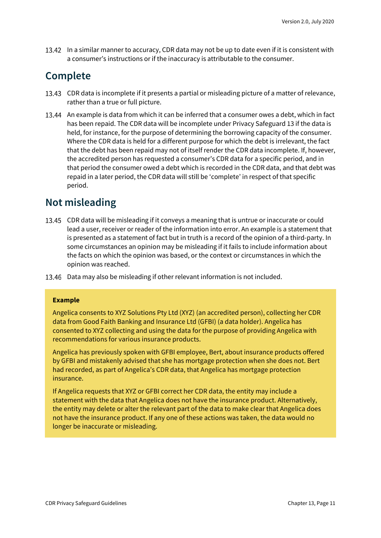13.42 In a similar manner to accuracy, CDR data may not be up to date even if it is consistent with a consumer's instructions or if the inaccuracy is attributable to the consumer.

#### <span id="page-10-0"></span>**Complete**

- 13.43 CDR data is incomplete if it presents a partial or misleading picture of a matter of relevance, rather than a true or full picture.
- 13.44 An example is data from which it can be inferred that a consumer owes a debt, which in fact has been repaid. The CDR data will be incomplete under Privacy Safeguard 13 if the data is held, for instance, for the purpose of determining the borrowing capacity of the consumer. Where the CDR data is held for a different purpose for which the debt is irrelevant, the fact that the debt has been repaid may not of itself render the CDR data incomplete. If, however, the accredited person has requested a consumer's CDR data for a specific period, and in that period the consumer owed a debt which is recorded in the CDR data, and that debt was repaid in a later period, the CDR data will still be 'complete' in respect of that specific period.

#### <span id="page-10-1"></span>**Not misleading**

- 13.45 CDR data will be misleading if it conveys a meaning that is untrue or inaccurate or could lead a user, receiver or reader of the information into error. An example is a statement that is presented as a statement of fact but in truth is a record of the opinion of a third-party. In some circumstances an opinion may be misleading if it fails to include information about the facts on which the opinion was based, or the context or circumstances in which the opinion was reached.
- 13.46 Data may also be misleading if other relevant information is not included.

#### **Example**

Angelica consents to XYZ Solutions Pty Ltd (XYZ) (an accredited person), collecting her CDR data from Good Faith Banking and Insurance Ltd (GFBI) (a data holder). Angelica has consented to XYZ collecting and using the data for the purpose of providing Angelica with recommendations for various insurance products.

Angelica has previously spoken with GFBI employee, Bert, about insurance products offered by GFBI and mistakenly advised that she has mortgage protection when she does not. Bert had recorded, as part of Angelica's CDR data, that Angelica has mortgage protection insurance.

If Angelica requests that XYZ or GFBI correct her CDR data, the entity may include a statement with the data that Angelica does not have the insurance product. Alternatively, the entity may delete or alter the relevant part of the data to make clear that Angelica does not have the insurance product. If any one of these actions was taken, the data would no longer be inaccurate or misleading.